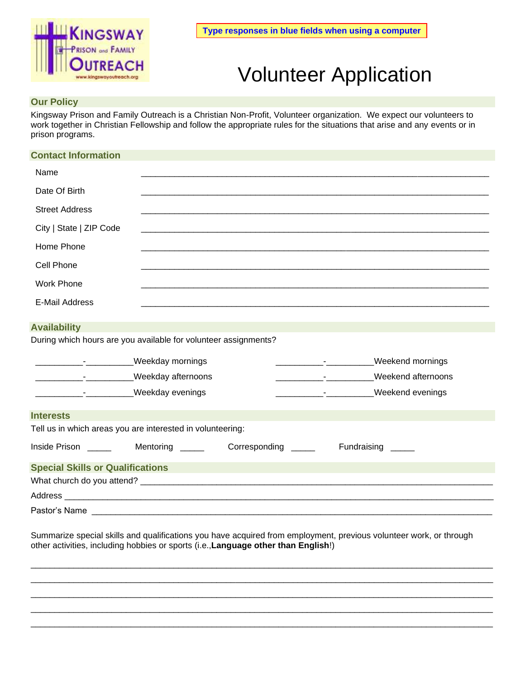

# Volunteer Application

## **Our Policy**

Kingsway Prison and Family Outreach is a Christian Non-Profit, Volunteer organization. We expect our volunteers to work together in Christian Fellowship and follow the appropriate rules for the situations that arise and any events or in prison programs.

### **Contact Information**

| Name                    |  |
|-------------------------|--|
| Date Of Birth           |  |
| <b>Street Address</b>   |  |
| City   State   ZIP Code |  |
| Home Phone              |  |
| Cell Phone              |  |
| <b>Work Phone</b>       |  |
| <b>E-Mail Address</b>   |  |

#### **Availability**

During which hours are you available for volunteer assignments?

|                                                                                                                                                                                                                                | <b>Weekday mornings</b> |                     | <b>Weekend mornings</b> |  |  |  |  |
|--------------------------------------------------------------------------------------------------------------------------------------------------------------------------------------------------------------------------------|-------------------------|---------------------|-------------------------|--|--|--|--|
|                                                                                                                                                                                                                                | Weekday afternoons      |                     | Weekend afternoons      |  |  |  |  |
|                                                                                                                                                                                                                                | <b>Weekday evenings</b> |                     | Weekend evenings        |  |  |  |  |
| <b>Interests</b>                                                                                                                                                                                                               |                         |                     |                         |  |  |  |  |
| Tell us in which areas you are interested in volunteering:                                                                                                                                                                     |                         |                     |                         |  |  |  |  |
|                                                                                                                                                                                                                                |                         | Corresponding _____ | Fundraising _____       |  |  |  |  |
| <b>Special Skills or Qualifications</b>                                                                                                                                                                                        |                         |                     |                         |  |  |  |  |
|                                                                                                                                                                                                                                |                         |                     |                         |  |  |  |  |
| Address and the contract of the contract of the contract of the contract of the contract of the contract of the contract of the contract of the contract of the contract of the contract of the contract of the contract of th |                         |                     |                         |  |  |  |  |
| Pastor's Name ____________________                                                                                                                                                                                             |                         |                     |                         |  |  |  |  |

Summarize special skills and qualifications you have acquired from employment, previous volunteer work, or through other activities, including hobbies or sports (i.e.,**Language other than English**!)

 $\Box$  $\Box$  $\Box$  $\Box$  $\Box \rightarrow \Box \rightarrow \Box$